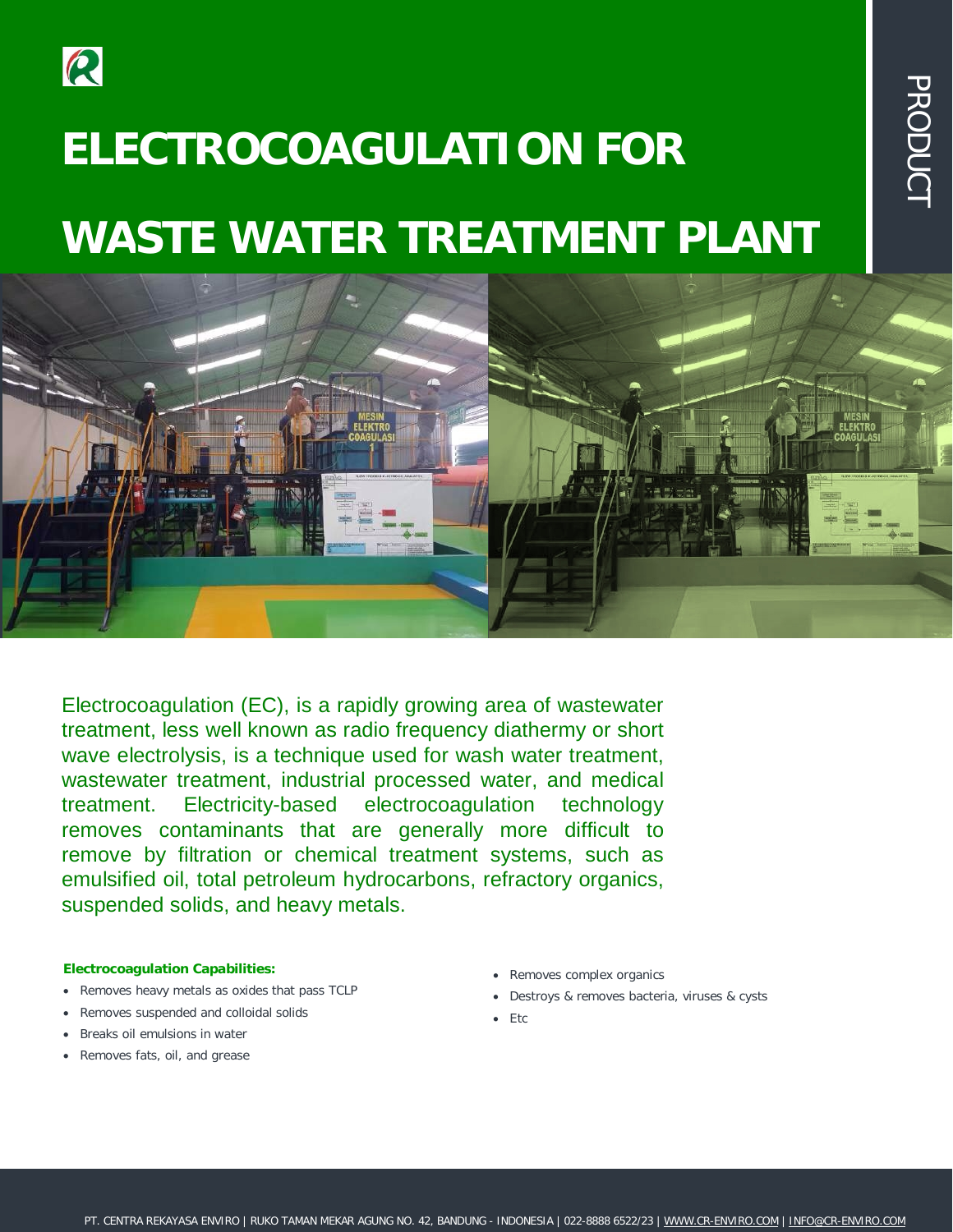

# **ELECTROCOAGULATION FOR WASTE WATER TREATMENT PLANT**



Electrocoagulation (EC), is a rapidly growing area of wastewater treatment, less well known as radio frequency diathermy or short wave electrolysis, is a technique used for wash water treatment, wastewater treatment, industrial processed water, and medical treatment. Electricity-based electrocoagulation technology removes contaminants that are generally more difficult to remove by filtration or chemical treatment systems, such as emulsified oil, total petroleum hydrocarbons, refractory organics, suspended solids, and heavy metals.

#### **Electrocoagulation Capabilities:**

- Removes heavy metals as oxides that pass TCLP
- Removes suspended and colloidal solids
- Breaks oil emulsions in water
- Removes fats, oil, and grease
- Removes complex organics
- Destroys & removes bacteria, viruses & cysts

 $\overline{\mathbf{U}}$ 刀  $\bigcirc$  $\overline{\Box}$  $\overline{\mathsf{C}}$  $\bigcirc$  $\overline{\phantom{0}}$ 

 $\bullet$  Etc